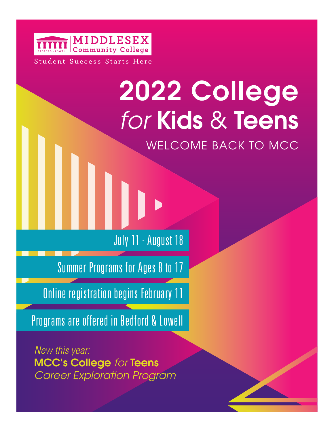

# 2022 College *for* Kids & Teens WELCOME BACK TO MCC

July 11 - August 18

Summer Programs for Ages 8 to 17

**Online registration begins February 11** 

Programs are offered in Bedford & Lowell

*New this year:*  MCC's College *for* Teens *Career Exploration Program*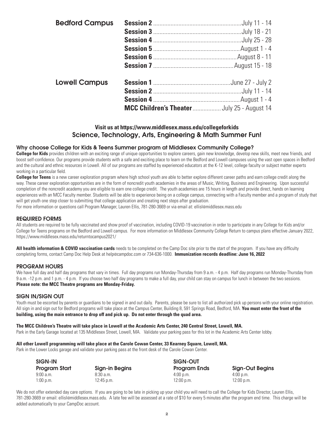| <b>Bedford Campus</b> |                                             |
|-----------------------|---------------------------------------------|
|                       |                                             |
|                       |                                             |
|                       |                                             |
|                       |                                             |
|                       |                                             |
| <b>Lowell Campus</b>  |                                             |
|                       |                                             |
|                       |                                             |
|                       | MCC Children's Theater  July 25 - August 14 |

#### Science, Technology, Arts, Engineering & Math Summer Fun! **Visit us at <https://www.middlesex.mass.edu/collegeforkids>**

#### Why choose College for Kids & Teens Summer program at Middlesex Community College?

College for Kids provides children with an exciting range of unique opportunities to explore careers, gain new knowledge, develop new skills, meet new friends, and boost self-confdence. Our programs provide students with a safe and exciting place to learn on the Bedford and Lowell campuses using the vast open spaces in Bedford and the cultural and ethnic resources in Lowell. All of our programs are staffed by experienced educators at the K-12 level, college faculty or subject matter experts working in a particular field.

**College for Teens** is a new career exploration program where high school youth are able to better explore different career paths and earn college credit along the way. These career exploration opportunities are in the form of noncredit youth academies in the areas of Music, Writing, Business and Engineering. Upon successful completion of the noncredit academy you are eligible to earn one college credit. The youth academies are 15 hours in length and provide direct, hands on learning experiences with an MCC Faculty member. Students will be able to experience being on a college campus, connecting with a Faculty member and a program of study that will get youth one step closer to submitting that college application and creating next steps after graduation.

For more information or questions call Program Manager, Lauren Ellis, 781-280-3669 or via email at: [ellisl@middlesex.mass.edu](mailto:ellisl@middlesex.mass.edu)

#### REQUIRED FORMS

All students are required to be fully vaccinated and show proof of vaccination, including COVID-19 vaccination in order to participate in any College for Kids and/or College for Teens programs on the Bedford and Lowell campus. For more information on Middlesex Community College Return to campus plans effective January 2022, [https://www.middlesex.mass.edu/returntocampus2021/](https://www.middlesex.mass.edu/returntocampus2021)

**All health information & COVID vaccination cards** needs to be completed on the Camp Doc site prior to the start of the program. If you have any diffculty completing forms, contact Camp Doc Help Desk at [help@campdoc.com](mailto:help@campdoc.com) or 734-636-1000. **Immunization records deadline: June 16, 2022** 

#### PROGRAM HOURS

 **Please note: the MCC Theatre programs are Monday-Friday.** We have full day and half day programs that vary in times. Full day programs run Monday-Thursday from 9 a.m. - 4 p.m. Half day programs run Monday-Thursday from 9 a.m. -12 p.m. and 1 p.m. - 4 p.m. If you choose two half day programs to make a full day, your child can stay on campus for lunch in between the two sessions.

#### SIGN IN/SIGN OUT

building, using the main entrance to drop off and pick up. Do not enter through the quad area. Youth must be escorted by parents or guardians to be signed in and out daily. Parents, please be sure to list all authorized pick up persons with your online registration. All sign in and sign out for Bedford programs will take place at the Campus Center, Building 8, 591 Springs Road, Bedford, MA. **You must enter the front of the** 

# building, using the main entrance to drop off and pick up. Do not enter through the quad area.<br>The MCC Children's Theatre will take place in Lowell at the Academic Arts Center, 240 Central Street, Lowell, MA.

Park in the Early Garage located at 135 Middlesex Street, Lowell, MA. Validate your parking pass for this lot in the Academic Arts Center lobby.

#### **All other Lowell programming will take place at the Carole Cowan Center, 33 Kearney Square, Lowell, MA.**

Park in the Lower Locks garage and validate your parking pass at the front desk of the Carole Cowan Center.

| SIGN-IN       |                | SIGN-OUT            |                        |
|---------------|----------------|---------------------|------------------------|
| Program Start | Sign-in Begins | <b>Program Ends</b> | <b>Sign-Out Begins</b> |
| 9:00a.m.      | 8:30a.m.       | $4:00$ p.m.         | $4:00$ p.m.            |
| $1:00$ p.m.   | 12:45 p.m.     | $12:00$ p.m.        | $12:00$ p.m.           |

We do not offer extended day care options. If you are going to be late in picking up your child you will need to call the College for Kids Director, Lauren Ellis, 781-280-3669 or email: [ellisl@middlesex.mass.edu.](mailto:ellisl@middlesex.mass.edu) A late fee will be assessed at a rate of \$10 for every 5 minutes after the program end time. This charge will be added automatically to your CampDoc account.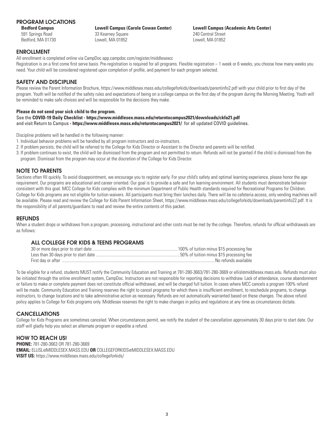#### PROGRAM LOCATIONS

**Bedford Campus** 591 Springs Road

Bedford, MA 01730 Lowell, MA 01852 Lowell, MA 01852

33 Kearney Square 240 Central Street

# **Bedford Campus Lowell Campus (Carole Cowan Center) Lowell Campus (Academic Arts Center)**

#### ENROLLMENT

All enrollment is completed online via CampDoc [app.campdoc.com/register/middlesexcc](https://app.campdoc.com/register/middlesexcc)

Registration is on a first come first serve basis. Pre-registration is required for all programs. Flexible registration – 1 week or 6 weeks, you choose how many weeks you need. Your child will be considered registered upon completion of profle, and payment for each program selected.

#### SAFETY AND DISCIPLINE

Please review the Parent Information Brochure, <https://www.middlesex.mass.edu/collegeforkids/downloads/parentinfo2.pdf> with your child prior to first day of the program. Youth will be notifed of the safety rules and expectations of being on a college campus on the frst day of the program during the Morning Meeting. Youth will be reminded to make safe choices and will be responsible for the decisions they make.

#### **Please do not send your sick child to the program.**

 and visit Return to Campus **- <https://www.middlesex.mass.edu/returntocampus2021>/** for all updated COVID guidelines. See the **COVID-19 Daily Checklist - <https://www.middlesex.mass.edu/returntocampus2021/downloads/ckfa21.pdf>**

Discipline problems will be handled in the following manner:

- 1. Individual behavior problems will be handled by all program instructors and co-instructors.
- 2. If problem persists, the child will be referred to the College for Kids Director or Assistant to the Director and parents will be notifed.
- 3. If problem continues to exist, the child will be dismissed from the program and not permitted to return. Refunds will not be granted if the child is dismissed from the program. Dismissal from the program may occur at the discretion of the College for Kids Director.

#### NOTE TO PARENTS

Sections often fill quickly. To avoid disappointment, we encourage you to register early. For your child's safety and optimal learning experience, please honor the age requirement. Our programs are educational and career oriented. Our goal is to provide a safe and fun learning environment. All students must demonstrate behavior consistent with this goal. MCC College for Kids complies with the minimum Department of Public Health standards required for Recreational Programs for Children. College for Kids programs are not eligible for tuition waivers. All participants must bring their lunches daily. There will be no cafeteria access, only vending machines will be available. Please read and review the College for Kids Parent Information Sheet, [https://www.middlesex.mass.edu/collegeforkids/downloads/parentinfo22.pdf.](https://www.middlesex.mass.edu/collegeforkids/downloads/parentinfo22.pdf) It is the responsibility of all parents/guardians to read and review the entire contents of this packet.

#### **REFUNDS**

When a student drops or withdraws from a program, processing, instructional and other costs must be met by the college. Therefore, refunds for official withdrawals are as follows:

#### ALL COLLEGE FOR KIDS & TEENS PROGRAMS

| No refunds available |
|----------------------|

To be eligible for a refund, students MUST notify the Community Education and Training at 781-280-3663/781-280-3669 or [ellisl@middlesex.mass.edu.](mailto:ellisl@middlesex.mass.edu) Refunds must also be initiated through the online enrollment system, CampDoc. Instructors are not responsible for reporting decisions to withdraw. Lack of attendance, course abandonment or failure to make or complete payment does not constitute offcial withdrawal, and will be charged full tuition. In cases where MCC cancels a program 100% refund will be made. Community Education and Training reserves the right to cancel programs for which there is insufficient enrollment, to reschedule programs, to change instructors, to change locations and to take administrative action as necessary. Refunds are not automatically warranted based on these changes. The above refund policy applies to College for Kids programs only. Middlesex reserves the right to make changes in policy and regulations at any time as circumstances dictate.

#### CANCELLATIONS

College for Kids Programs are sometimes canceled. When circumstances permit, we notify the student of the cancellation approximately 30 days prior to start date. Our staff will gladly help you select an alternate program or expedite a refund.

#### HOW TO REACH US!

 **EMAIL:** [ELLISL@MIDDLESEX.MASS.EDU](mailto:ELLISL@MIDDLESEX.MASS.EDU) **OR** [COLLEGEFORKIDS@MIDDLESEX.MASS.EDU](mailto:COLLEGEFORKIDS@MIDDLESEX.MASS.EDU) **PHONE:** 781-280-3663 OR 781-280-3669 **VISIT US:** [https://www.middlesex.mass.edu/collegeforkids/](https://www.middlesex.mass.edu/collegeforkids)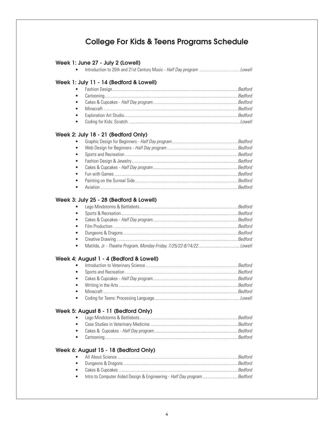### **College For Kids & Teens Programs Schedule**

#### Week 1: June 27 - July 2 (Lowell)

#### Week 1: July 11 - 14 (Bedford & Lowell)

#### Week 2: July 18 - 21 (Bedford Only)

| $\bullet$ |         |
|-----------|---------|
| $\bullet$ |         |
| $\bullet$ | Bedford |
| $\bullet$ |         |
| $\bullet$ |         |
| $\bullet$ |         |
| $\bullet$ |         |
|           |         |

#### Week 3: July 25 - 28 (Bedford & Lowell)

#### Week 4: August 1 - 4 (Bedford & Lowell)

#### Week 5: August 8 - 11 (Bedford Only)

#### Week 6: August 15 - 18 (Bedford Only)

| • Intro to Computer Aided Design & Engineering - Half Day program Bedford |  |
|---------------------------------------------------------------------------|--|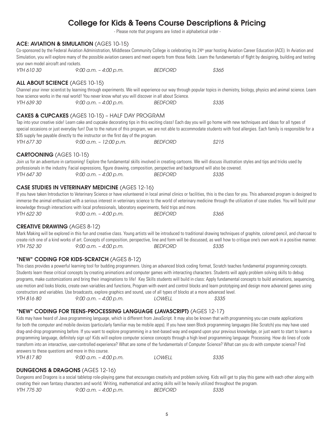## College for Kids & Teens Course Descriptions & Pricing

- Please note that programs are listed in alphabetical order -

#### ACE: AVIATION & SIMULATION (AGES 10-15)

Co-sponsored by the Federal Aviation Administration, Middlesex Community College is celebrating its 24<sup>th</sup> year hosting Aviation Career Education (ACE). In Aviation and Simulation, you will explore many of the possible aviation careers and meet experts from those felds. Learn the fundamentals of fight by designing, building and testing your own model aircraft and rockets.

*YTH 610 30 9:00 a.m. – 4:00 p.m. BEDFORD \$365* 

#### ALL ABOUT SCIENCE (AGES 10-15)

Channel your inner scientist by learning through experiments. We will experience our way through popular topics in chemistry, biology, physics and animal science. Learn how science works in the real world! You never know what you will discover in all about Science.

*YTH 639 30 9:00 a.m. – 4:00 p.m. BEDFORD \$335* 

#### CAKES & CUPCAKES (AGES 10-15) – HALF DAY PROGRAM

Tap into your creative side! Learn cake and cupcake decorating tips in this exciting class! Each day you will go home with new techniques and ideas for all types of special occasions or just everyday fun! Due to the nature of this program, we are not able to accommodate students with food allergies. Each family is responsible for a \$35 supply fee payable directly to the instructor on the first day of the program. *YTH 677 30 9:00 a.m. – 12:00 p.m. BEDFORD \$215* 

#### CARTOONING (AGES 10-15)

Join us for an adventure in cartooning! Explore the fundamental skills involved in creating cartoons. We will discuss illustration styles and tips and tricks used by professionals in the industry. Facial expressions, fgure drawing, composition, perspective and background will also be covered. *YTH 647 30 9:00 a.m. – 4:00 p.m. BEDFORD \$335* 

#### CASE STUDIES IN VETERINARY MEDICINE (AGES 12-16)

If you have taken Introduction to Veterinary Science or have volunteered in local animal clinics or facilities, this is the class for you. This advanced program is designed to immerse the animal enthusiast with a serious interest in veterinary science to the world of veterinary medicine through the utilization of case studies. You will build your knowledge through interactions with local professionals, laboratory experiments, feld trips and more. *YTH 622 30 9:00 a.m. – 4:00 p.m. BEDFORD \$365* 

#### CREATIVE DRAWING (AGES 8-12)

Mark Making will be explored in this fun and creative class. Young artists will be introduced to traditional drawing techniques of graphite, colored pencil, and charcoal to create rich one of a kind works of art. Concepts of composition, perspective, line and form will be discussed, as well how to critique one's own work in a positive manner. *YTH 752 30 9:00 a.m. – 4:00 p.m. BEDFORD \$335* 

#### \*NEW\* CODING FOR KIDS-SCRATCH (AGES 8-12)

This class provides a powerful learning tool for budding programmers. Using an advanced block coding format, Scratch teaches fundamental programming concepts. Students learn these critical concepts by creating animations and computer games with interacting characters. Students will apply problem solving skills to debug programs, make customizations and bring their imaginations to life! Key Skills students will build in class: Apply fundamental concepts to build animations, sequencing, use motion and looks blocks, create own variables and functions, Program with event and control blocks and learn prototyping and design more advanced games using constructors and variables. Use broadcasts, explore graphics and sound, use of all types of blocks at a more advanced level. *YTH 816 80 9:00 a.m. – 4:00 p.m. LOWELL \$335* 

#### \*NEW\* CODING FOR TEENS-PROCESSING LANGUAGE (JAVASCRIPT) (AGES 12-17)

Kids may have heard of Java programming language, which is different from JavaScript. It may also be known that with programming you can create applications for both the computer and mobile devices (particularly familiar may be mobile apps). If you have seen Block programming languages (like Scratch) you may have used drag-and-drop programming before. If you want to explore programming in a text-based way and expand upon your previous knowledge, or just want to start to learn a programming language, defnitely sign up! Kids will explore computer science concepts through a high level programming language: Processing. How do lines of code transform into an interactive, user-controlled experience? What are some of the fundamentals of Computer Science? What can you do with computer science? Find answers to these questions and more in this course.

*YTH 817 80 9:00 a.m. – 4:00 p.m. LOWELL \$335* 

#### DUNGEONS & DRAGONS (AGES 12-16)

Dungeons and Dragons is a social tabletop role-playing game that encourages creativity and problem solving. Kids will get to play this game with each other along with creating their own fantasy characters and world. Writing, mathematical and acting skills will be heavily utilized throughout the program.

*YTH 775 30 9:00 a.m. – 4:00 p.m. BEDFORD \$335*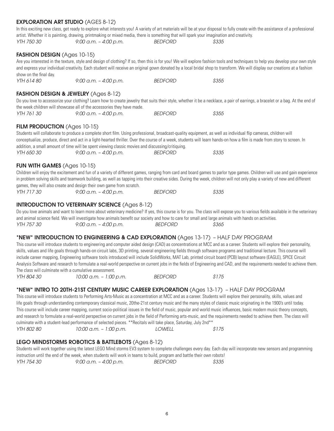### YTH 614 80 and express your individual creativity. Each student will receive an original gown donated by a local bridal shop to transform. We will display our creations at a fashion show on the final day. *YTH 614 80 9:00 a.m. – 4:00 p.m. BEDFORD \$355*  FASHION DESIGN & JEWELRY (Ages 8-12) Do you love to accessorize your clothing? Learn how to create jewelry that suits their style, whether it be a necklace, a pair of earrings, a bracelet or a bag. At the end of the week children will showcase all of the accessories they have made. *YTH 761 30 9:00 a.m. – 4:00 p.m. BEDFORD \$355*  FILM PRODUCTION (Ages 10-15) Students will collaborate to produce a complete short flm. Using professional, broadcast-quality equipment, as well as individual fip cameras, children will conceptualize, produce, direct and act in a light-hearted thriller. Over the course of a week, students will learn hands-on how a flm is made from story to screen. In addition, a small amount of time will be spent viewing classic movies and discussing/critiquing. *YTH 650 30 9:00 a.m. – 4:00 p.m. BEDFORD \$335*  FUN WITH GAMES (Ages 10-15) Children will enjoy the excitement and fun of a variety of different games, ranging from card and board games to parlor type games. Children will use and gain experience in problem solving skills and teamwork building, as well as tapping into their creative sides. During the week, children will not only play a variety of new and different games, they will also create and design their own game from scratch. *YTH 717 30 9:00 a.m. – 4:00 p.m. BEDFORD \$335*  INTRODUCTION TO VETERINARY SCIENCE (Ages 8-12) and animal science feld. We will investigate how animals beneft our society and how to care for small and large animals with hands on activities. *YTH 757 30 9:00 a.m. – 4:00 p.m. BEDFORD \$365*  \*NEW\* INTRODUCTION TO ENGINEERING & CAD EXPLORATION (Ages 13-17) – HALF DAY PROGRAM This course will introduce students to engineering and computer aided design (CAD) as concentrations at MCC and as a career. Students will explore their personality, skills, values and life goals through hands-on circuit labs, 3D printing, several engineering felds through software programs and traditional lecture. This course will include career mapping, Engineering software tools introduced will include SolidWorks, MAT Lab, printed circuit board (PCB) layout software (EAGLE), SPICE Circuit The class will culminate with a cumulative assessment. *YTH 804 30 10:00 a.m. – 1:00 p.m. BEDFORD \$175*  \*NEW\* INTRO TO 20TH-21ST CENTURY MUSIC CAREER EXPLORATION (Ages 13-17) – HALF DAY PROGRAM This course will introduce students to Performing Arts-Music as a concentration at MCC and as a career. Students will explore their personality, skills, values and life goals through understanding contemporary classical music, 20the-21st century music and the many styles of classic music originating in the 1900's until today. This course will include career mapping, current socio-political issues in the feld of music, popular and world music infuences, basic modern music theory concepts, and research to formulate a real-world perspective on current jobs in the feld of Performing arts-music, and the requirements needed to achieve them. The class will culminate with a student-lead performance of selected pieces. \*\*Recitals will take place, Saturday, July 2nd\*\* *YTH 802 80 10:00 a.m. – 1:00 p.m. LOWELL \$175*  LEGO MINDSTORMS ROBOTICS & BATTLEBOTS (Ages 8-12)

Students will work together using the latest LEGO Mind storms EV3 system to complete challenges every day. Each day will incorporate new sensors and programming instruction until the end of the week, when students will work in teams to build, program and battle their own robots! *YTH 754 30 9:00 a.m. – 4:00 p.m. BEDFORD \$335* 

**6**

#### EXPLORATION ART STUDIO (AGES 8-12)

In this exciting new class, get ready to explore what interests you! A variety of art materials will be at your disposal to fully create with the assistance of a professional artist. Whether it is painting, drawing, printmaking or mixed media, there is something that will spark your imagination and creativity. *YTH 750 30 9:00 a.m. – 4:00 p.m. BEDFORD \$335* 

#### FASHION DESIGN (Ages 10-15)

Are you interested in the texture, style and design of clothing? If so, then this is for you! We will explore fashion tools and techniques to help you develop your own style

Do you love animals and want to learn more about veterinary medicine? If yes, this course is for you. The class will expose you to various fields available in the veterinary

Analysis Software and research to formulate a real-world perspective on current jobs in the felds of Engineering and CAD, and the requirements needed to achieve them.